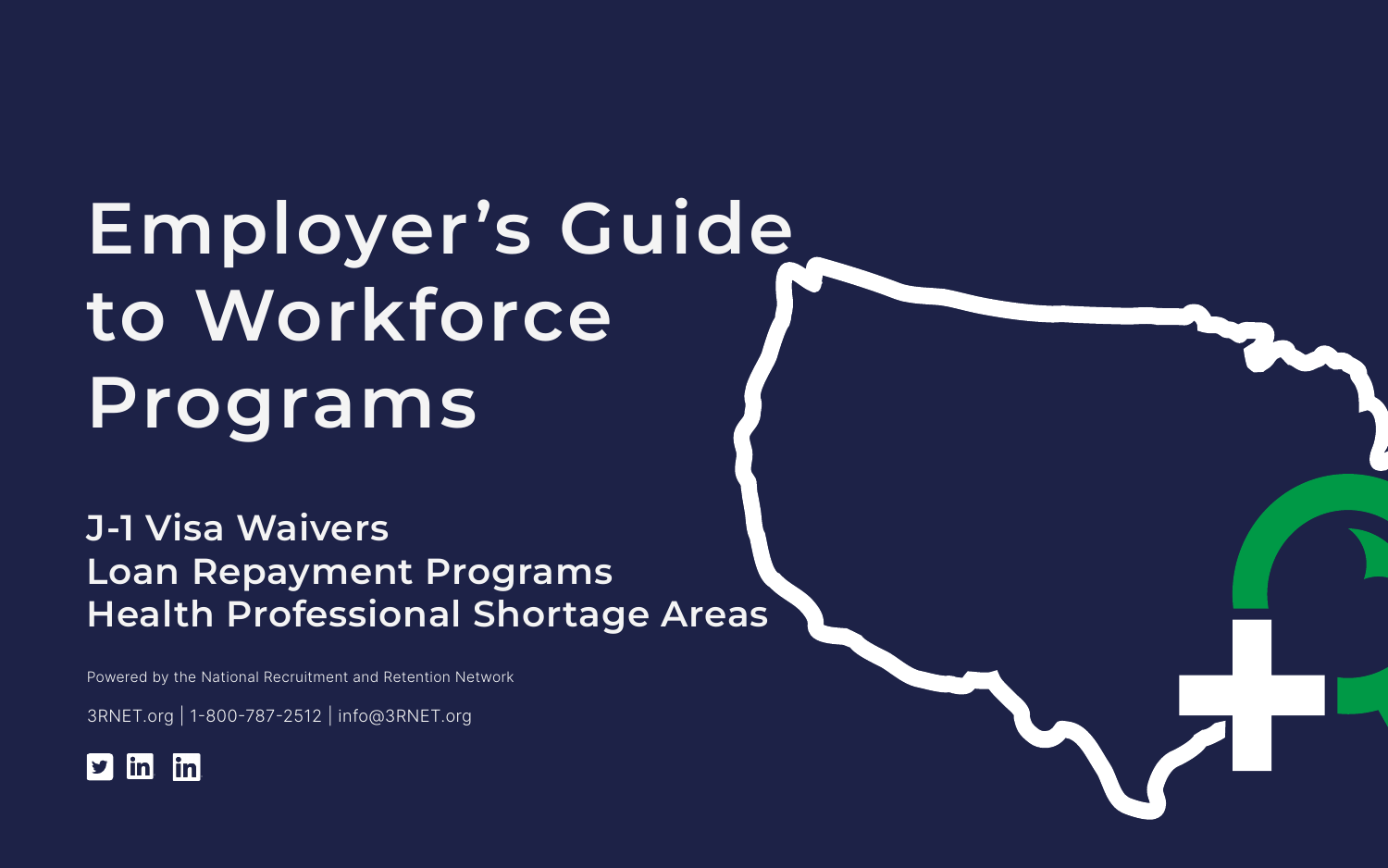# **Employer's Guide to Workforce Programs**

**J-1 Visa Waivers Loan Repayment Programs Health Professional Shortage Areas**

Powered by the National Recruitment and Retention Network

3RNET.org | 1-800-787-2512 | info@3RNET.org



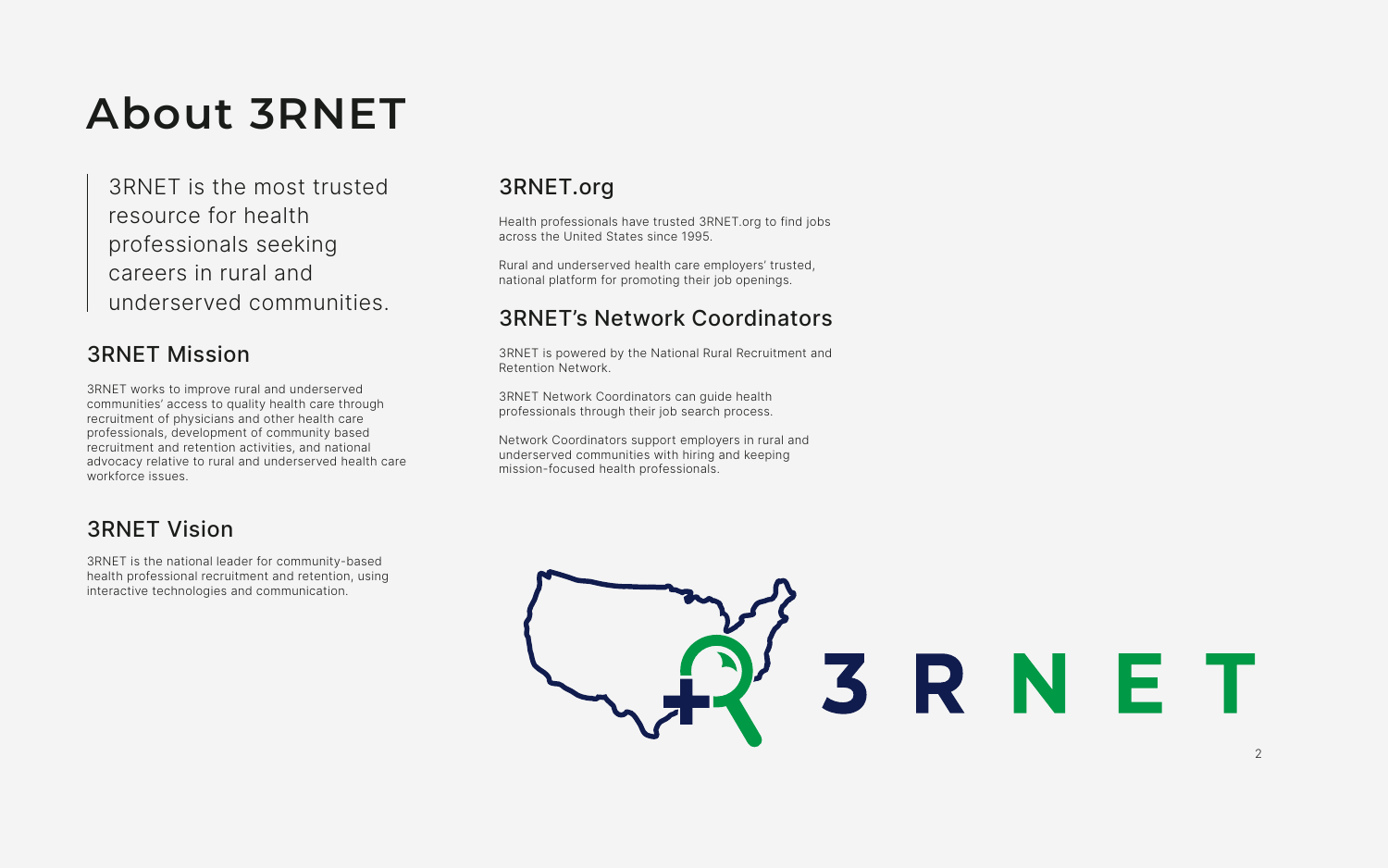# **About 3RNET**

3RNET is the most trusted resource for health professionals seeking careers in rural and underserved communities.

## 3RNET Mission

3RNET works to improve rural and underserved communities' access to quality health care through recruitment of physicians and other health care professionals, development of community based recruitment and retention activities, and national advocacy relative to rural and underserved health care workforce issues.

## 3RNET Vision

3RNET is the national leader for community-based health professional recruitment and retention, using interactive technologies and communication.

## 3RNET.org

Health professionals have trusted 3RNET.org to find jobs across the United States since 1995.

Rural and underserved health care employers' trusted, national platform for promoting their job openings.

## 3RNET's Network Coordinators

3RNET is powered by the National Rural Recruitment and Retention Network.

3RNET Network Coordinators can guide health professionals through their job search process.

Network Coordinators support employers in rural and underserved communities with hiring and keeping mission-focused health professionals.



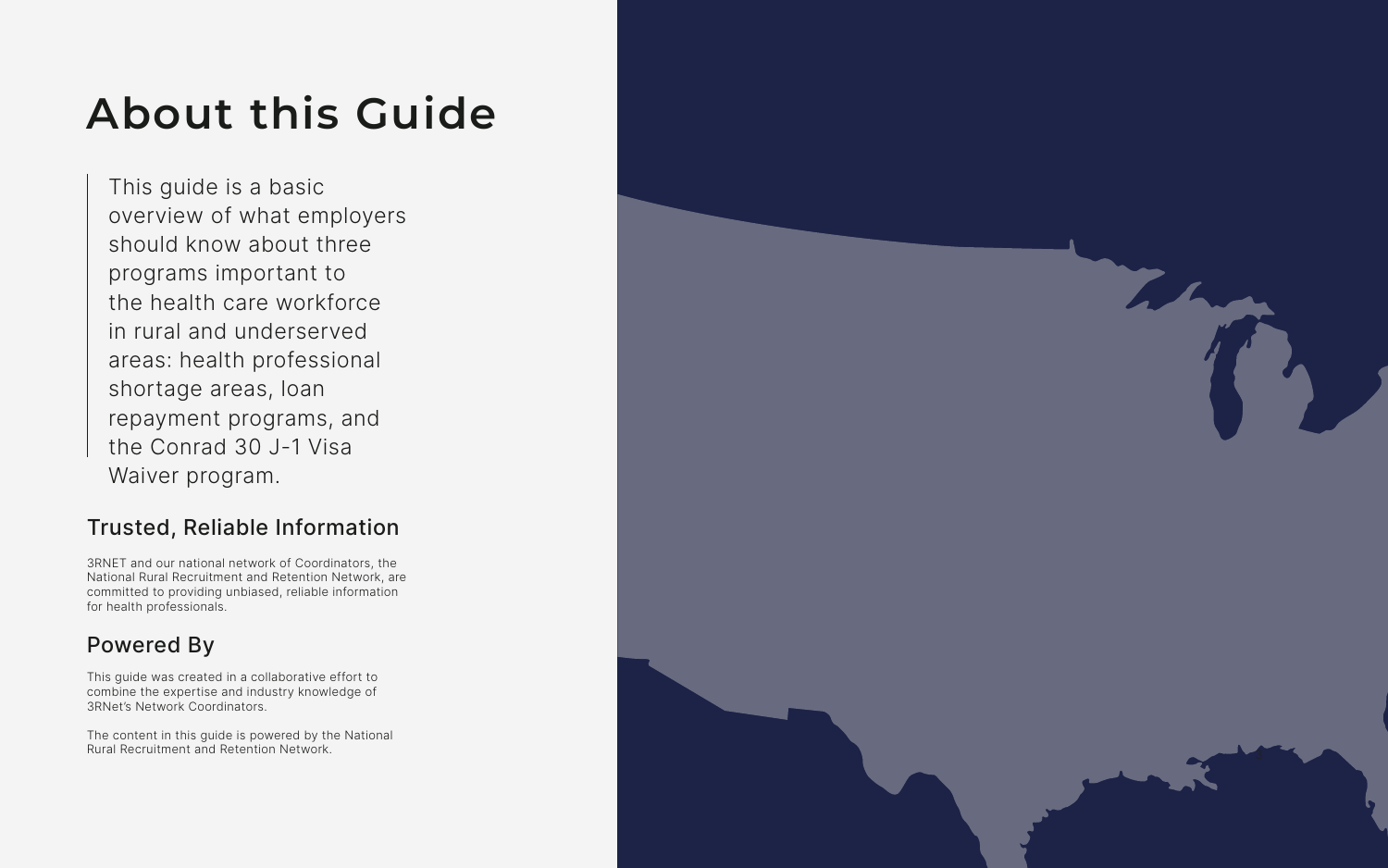This guide is a basic overview of what employers should know about three programs important to the health care workforce in rural and underserved areas: health professional shortage areas, loan repayment programs, and the Conrad 30 J-1 Visa Waiver program.

## Trusted, Reliable Information

3RNET and our national network of Coordinators, the National Rural Recruitment and Retention Network, are committed to providing unbiased, reliable information for health professionals.

## Powered By

This guide was created in a collaborative effort to combine the expertise and industry knowledge of 3RNet's Network Coordinators.

The content in this guide is powered by the National Rural Recruitment and Retention Network.



# **About this Guide**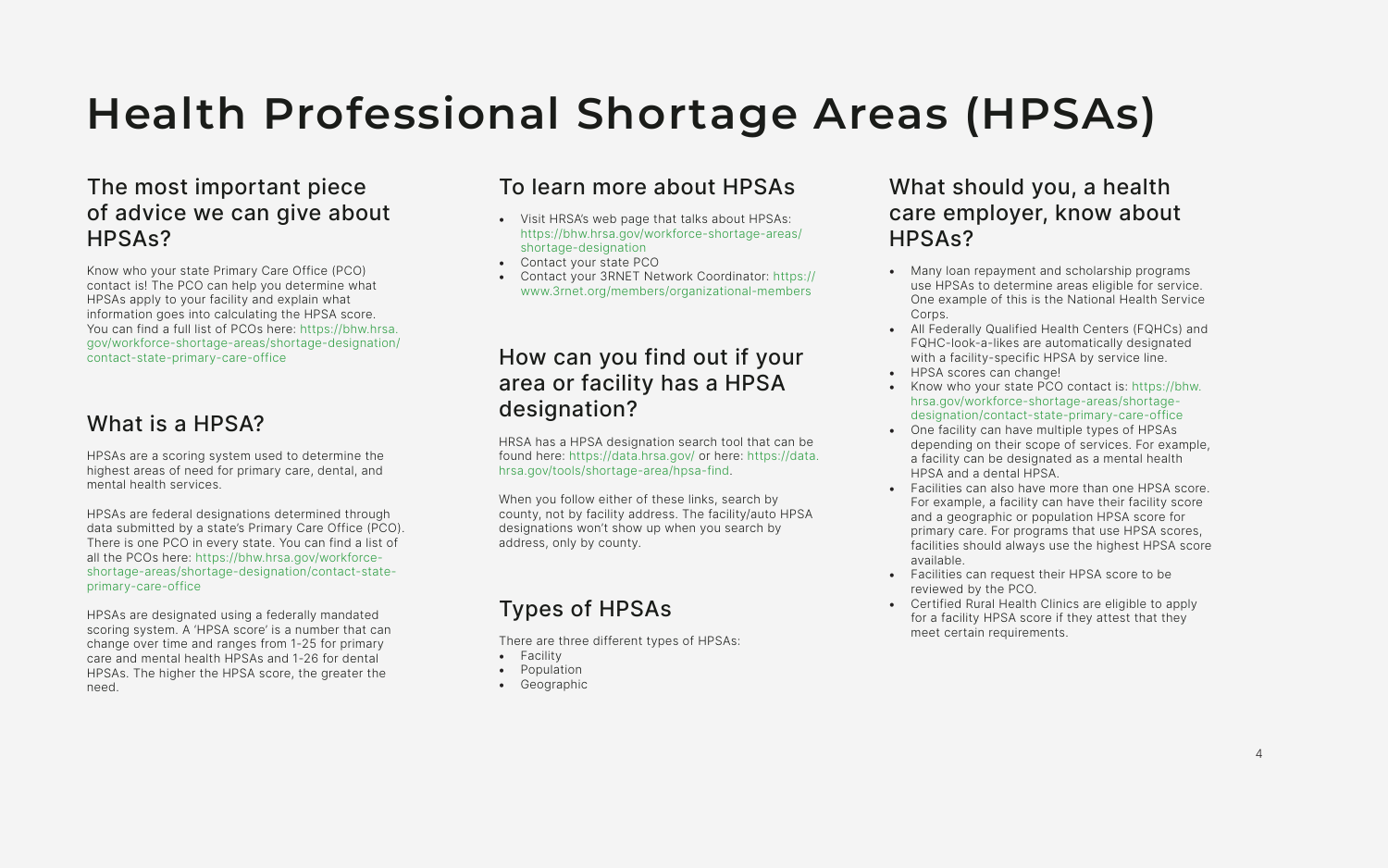# **Health Professional Shortage Areas (HPSAs)**

## The most important piece of advice we can give about HPSAs?

Know who your state Primary Care Office (PCO) contact is! The PCO can help you determine what HPSAs apply to your facility and explain what information goes into calculating the HPSA score. You can find a full list of PCOs here: [https://bhw.hrsa.](https://bhw.hrsa.gov/workforce-shortage-areas/shortage-designation/contact-state-primary-care-office) [gov/workforce-shortage-areas/shortage-designation/](https://bhw.hrsa.gov/workforce-shortage-areas/shortage-designation/contact-state-primary-care-office) [contact-state-primary-care-office](https://bhw.hrsa.gov/workforce-shortage-areas/shortage-designation/contact-state-primary-care-office)

### What is a HPSA?

HPSAs are a scoring system used to determine the highest areas of need for primary care, dental, and mental health services.

HPSAs are federal designations determined through data submitted by a state's Primary Care Office (PCO). There is one PCO in every state. You can find a list of all the PCOs here: [https://bhw.hrsa.gov/workforce](https://bhw.hrsa.gov/workforce-shortage-areas/shortage-designation/contact-state-primary-care-office)[shortage-areas/shortage-designation/contact-state](https://bhw.hrsa.gov/workforce-shortage-areas/shortage-designation/contact-state-primary-care-office)[primary-care-office](https://bhw.hrsa.gov/workforce-shortage-areas/shortage-designation/contact-state-primary-care-office)

HPSAs are designated using a federally mandated scoring system. A 'HPSA score' is a number that can change over time and ranges from 1-25 for primary care and mental health HPSAs and 1-26 for dental HPSAs. The higher the HPSA score, the greater the need.

## To learn more about HPSAs

- Visit HRSA's web page that talks about HPSAs: [https://bhw.hrsa.gov/workforce-shortage-areas/](https://bhw.hrsa.gov/workforce-shortage-areas/shortage-designation) [shortage-designation](https://bhw.hrsa.gov/workforce-shortage-areas/shortage-designation)
- Contact your state PCO
- Contact your 3RNET Network Coordinator: [https://](https://www.3rnet.org/members/organizational-members ) [www.3rnet.org/members/organizational-members](https://www.3rnet.org/members/organizational-members )

## How can you find out if your area or facility has a HPSA designation?

HRSA has a HPSA designation search tool that can be found here:<https://data.hrsa.gov/>or here: [https://data.](https://data.hrsa.gov/tools/shortage-area/hpsa-find) [hrsa.gov/tools/shortage-area/hpsa-find.](https://data.hrsa.gov/tools/shortage-area/hpsa-find)

When you follow either of these links, search by county, not by facility address. The facility/auto HPSA designations won't show up when you search by address, only by county.

## Types of HPSAs

There are three different types of HPSAs:

- Facility
- Population
- Geographic

## What should you, a health care employer, know about HPSAs?

- Many loan repayment and scholarship programs use HPSAs to determine areas eligible for service. One example of this is the National Health Service Corps.
- All Federally Qualified Health Centers (FQHCs) and FQHC-look-a-likes are automatically designated with a facility-specific HPSA by service line.
- HPSA scores can change!
- Know who your state PCO contact is: [https://bhw.](https://bhw.hrsa.gov/workforce-shortage-areas/shortage-designation/contact-state-primary-care-office) [hrsa.gov/workforce-shortage-areas/shortage](https://bhw.hrsa.gov/workforce-shortage-areas/shortage-designation/contact-state-primary-care-office)[designation/contact-state-primary-care-office](https://bhw.hrsa.gov/workforce-shortage-areas/shortage-designation/contact-state-primary-care-office)
- One facility can have multiple types of HPSAs depending on their scope of services. For example, a facility can be designated as a mental health HPSA and a dental HPSA.
- Facilities can also have more than one HPSA score. For example, a facility can have their facility score and a geographic or population HPSA score for primary care. For programs that use HPSA scores, facilities should always use the highest HPSA score available.
- Facilities can request their HPSA score to be reviewed by the PCO.
- Certified Rural Health Clinics are eligible to apply for a facility HPSA score if they attest that they meet certain requirements.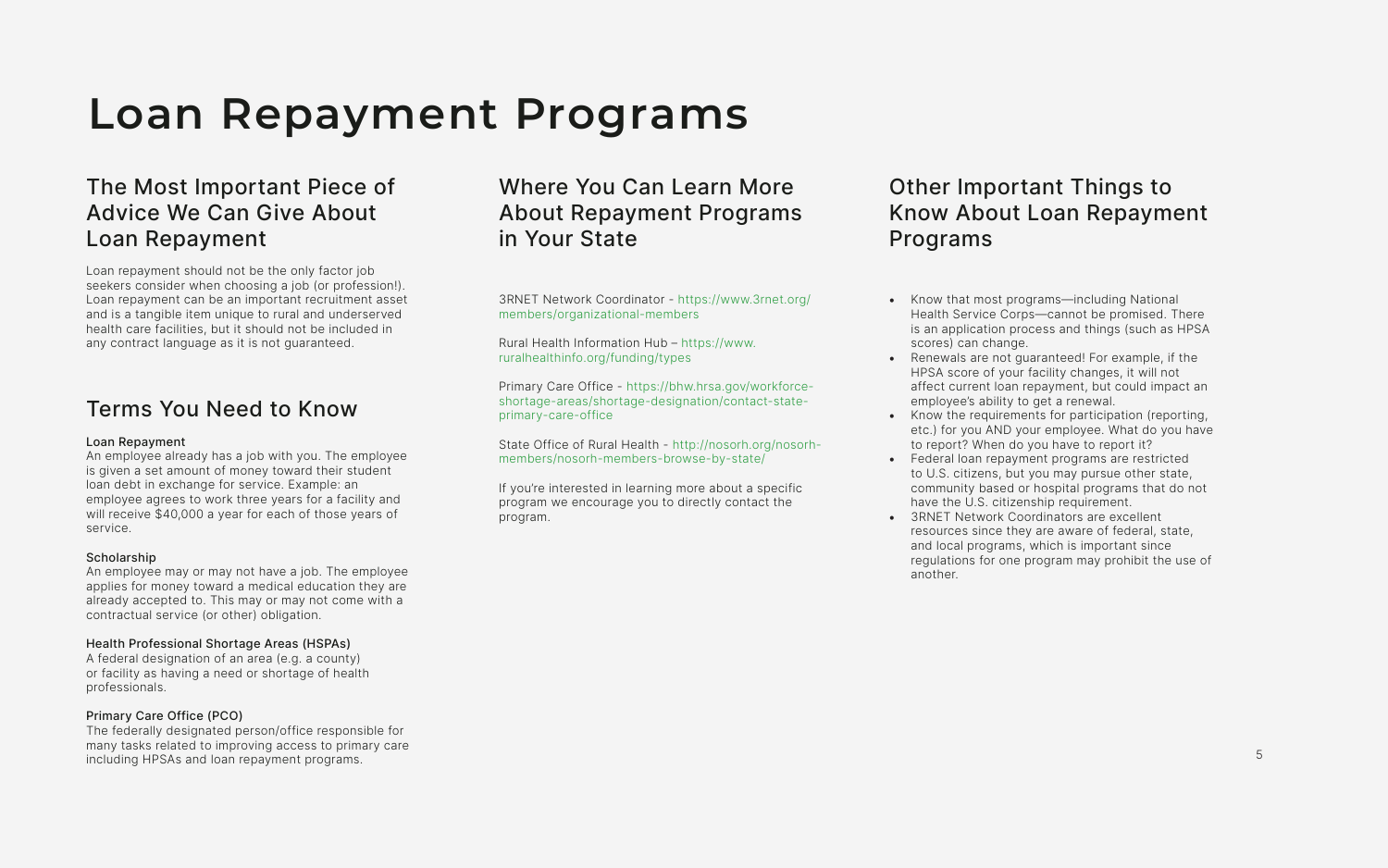## The Most Important Piece of Advice We Can Give About Loan Repayment

Loan repayment should not be the only factor job seekers consider when choosing a job (or profession!). Loan repayment can be an important recruitment asset and is a tangible item unique to rural and underserved health care facilities, but it should not be included in any contract language as it is not guaranteed.

### Terms You Need to Know

#### Loan Repayment

An employee already has a job with you. The employee is given a set amount of money toward their student loan debt in exchange for service. Example: an employee agrees to work three years for a facility and will receive \$40,000 a year for each of those years of service.

#### Scholarship

An employee may or may not have a job. The employee applies for money toward a medical education they are already accepted to. This may or may not come with a contractual service (or other) obligation.

### Health Professional Shortage Areas (HSPAs)

A federal designation of an area (e.g. a county) or facility as having a need or shortage of health professionals.

### Primary Care Office (PCO)

The federally designated person/office responsible for many tasks related to improving access to primary care including HPSAs and loan repayment programs.

## **Loan Repayment Programs**

## Where You Can Learn More About Repayment Programs in Your State

3RNET Network Coordinator - [https://www.3rnet.org/](https://www.3rnet.org/members/organizational-members ) [members/organizational-members](https://www.3rnet.org/members/organizational-members ) 

Rural Health Information Hub – [https://www.](https://www.ruralhealthinfo.org/funding/types) [ruralhealthinfo.org/funding/types](https://www.ruralhealthinfo.org/funding/types)

Primary Care Office - [https://bhw.hrsa.gov/workforce](https://bhw.hrsa.gov/workforce-shortage-areas/shortage-designation/contact-state-primary-care-office)[shortage-areas/shortage-designation/contact-state](https://bhw.hrsa.gov/workforce-shortage-areas/shortage-designation/contact-state-primary-care-office)[primary-care-office](https://bhw.hrsa.gov/workforce-shortage-areas/shortage-designation/contact-state-primary-care-office)

State Office of Rural Health - [http://nosorh.org/nosorh](http://nosorh.org/nosorh-members/nosorh-members-browse-by-state/ )[members/nosorh-members-browse-by-state/](http://nosorh.org/nosorh-members/nosorh-members-browse-by-state/ ) 

If you're interested in learning more about a specific program we encourage you to directly contact the program.

## Other Important Things to Know About Loan Repayment Programs

- Know that most programs—including National Health Service Corps—cannot be promised. There is an application process and things (such as HPSA scores) can change.
- Renewals are not guaranteed! For example, if the HPSA score of your facility changes, it will not affect current loan repayment, but could impact an employee's ability to get a renewal.
- Know the requirements for participation (reporting, etc.) for you AND your employee. What do you have to report? When do you have to report it?
- Federal loan repayment programs are restricted to U.S. citizens, but you may pursue other state, community based or hospital programs that do not have the U.S. citizenship requirement.
- 3RNET Network Coordinators are excellent resources since they are aware of federal, state, and local programs, which is important since regulations for one program may prohibit the use of another.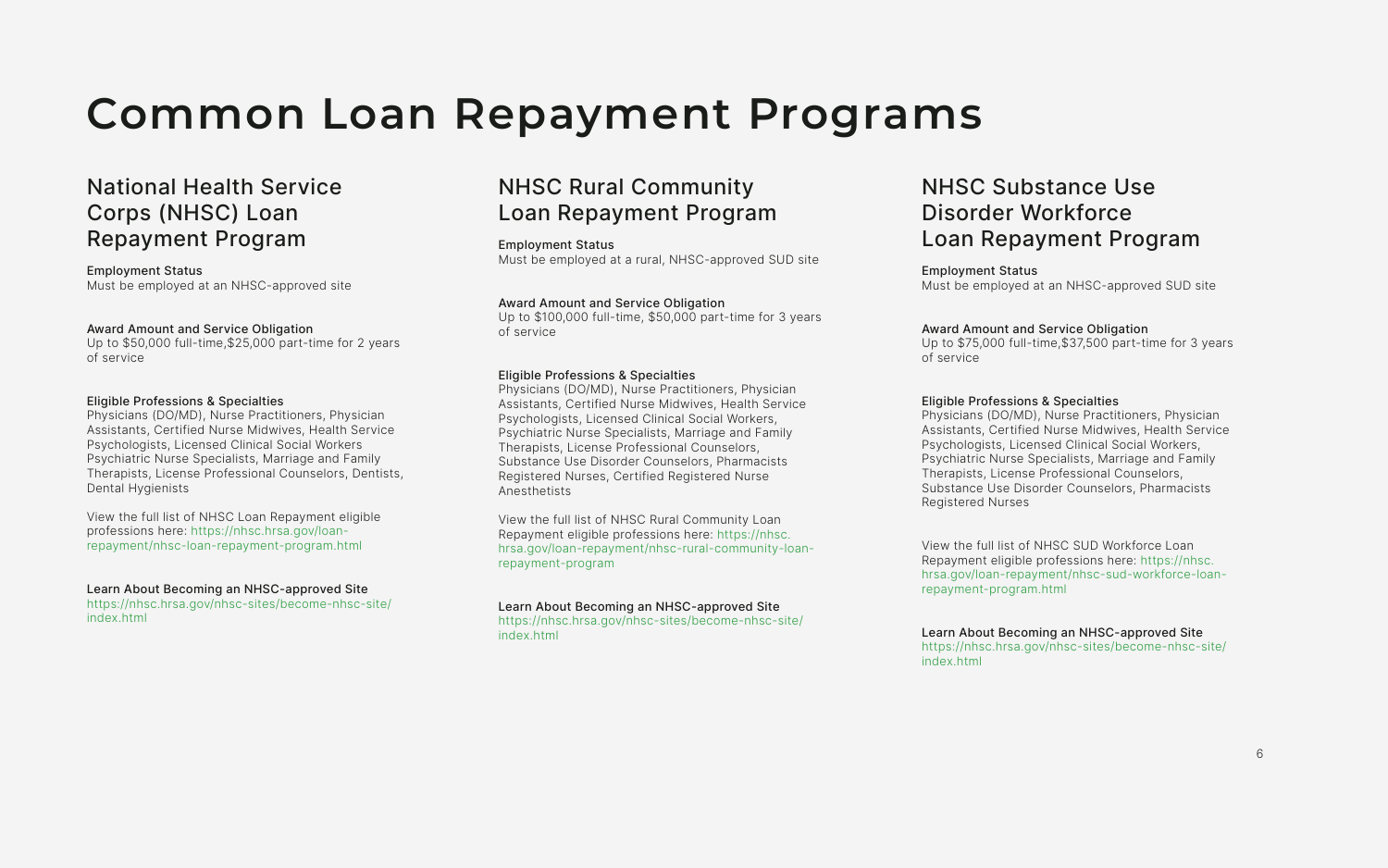## **Common Loan Repayment Programs**

### National Health Service Corps (NHSC) Loan Repayment Program

Employment Status Must be employed at an NHSC-approved site

#### Award Amount and Service Obligation

Up to \$50,000 full-time,\$25,000 part-time for 2 years of service

#### Eligible Professions & Specialties

Physicians (DO/MD), Nurse Practitioners, Physician Assistants, Certified Nurse Midwives, Health Service Psychologists, Licensed Clinical Social Workers Psychiatric Nurse Specialists, Marriage and Family Therapists, License Professional Counselors, Dentists, Dental Hygienists

View the full list of NHSC Loan Repayment eligible professions here: [https://nhsc.hrsa.gov/loan](https://nhsc.hrsa.gov/loan-repayment/nhsc-loan-repayment-program.html)[repayment/nhsc-loan-repayment-program.html](https://nhsc.hrsa.gov/loan-repayment/nhsc-loan-repayment-program.html)

#### Learn About Becoming an NHSC-approved Site

[https://nhsc.hrsa.gov/nhsc-sites/become-nhsc-site/](https://nhsc.hrsa.gov/nhsc-sites/become-nhsc-site/index.html) [index.html](https://nhsc.hrsa.gov/nhsc-sites/become-nhsc-site/index.html)

## NHSC Substance Use Disorder Workforce Loan Repayment Program

Employment Status Must be employed at an NHSC-approved SUD site

### Award Amount and Service Obligation

Up to \$75,000 full-time,\$37,500 part-time for 3 years of service

#### Eligible Professions & Specialties

Physicians (DO/MD), Nurse Practitioners, Physician Assistants, Certified Nurse Midwives, Health Service Psychologists, Licensed Clinical Social Workers, Psychiatric Nurse Specialists, Marriage and Family Therapists, License Professional Counselors, Substance Use Disorder Counselors, Pharmacists Registered Nurses

View the full list of NHSC SUD Workforce Loan Repayment eligible professions here: [https://nhsc.](https://nhsc.hrsa.gov/loan-repayment/nhsc-sud-workforce-loan-repayment-program.html) [hrsa.gov/loan-repayment/nhsc-sud-workforce-loan](https://nhsc.hrsa.gov/loan-repayment/nhsc-sud-workforce-loan-repayment-program.html)[repayment-program.html](https://nhsc.hrsa.gov/loan-repayment/nhsc-sud-workforce-loan-repayment-program.html)

#### Learn About Becoming an NHSC-approved Site [https://nhsc.hrsa.gov/nhsc-sites/become-nhsc-site/](https://nhsc.hrsa.gov/nhsc-sites/become-nhsc-site/index.html) [index.html](https://nhsc.hrsa.gov/nhsc-sites/become-nhsc-site/index.html)

### NHSC Rural Community Loan Repayment Program

Employment Status Must be employed at a rural, NHSC-approved SUD site

#### Award Amount and Service Obligation

Up to \$100,000 full-time, \$50,000 part-time for 3 years of service

#### Eligible Professions & Specialties

Physicians (DO/MD), Nurse Practitioners, Physician Assistants, Certified Nurse Midwives, Health Service Psychologists, Licensed Clinical Social Workers, Psychiatric Nurse Specialists, Marriage and Family Therapists, License Professional Counselors, Substance Use Disorder Counselors, Pharmacists Registered Nurses, Certified Registered Nurse Anesthetists

View the full list of NHSC Rural Community Loan Repayment eligible professions here: [https://nhsc.](https://nhsc.hrsa.gov/loan-repayment/nhsc-rural-community-loan-repayment-program) [hrsa.gov/loan-repayment/nhsc-rural-community-loan](https://nhsc.hrsa.gov/loan-repayment/nhsc-rural-community-loan-repayment-program)[repayment-program](https://nhsc.hrsa.gov/loan-repayment/nhsc-rural-community-loan-repayment-program)

#### Learn About Becoming an NHSC-approved Site

[https://nhsc.hrsa.gov/nhsc-sites/become-nhsc-site/](https://nhsc.hrsa.gov/nhsc-sites/become-nhsc-site/index.html) [index.html](https://nhsc.hrsa.gov/nhsc-sites/become-nhsc-site/index.html)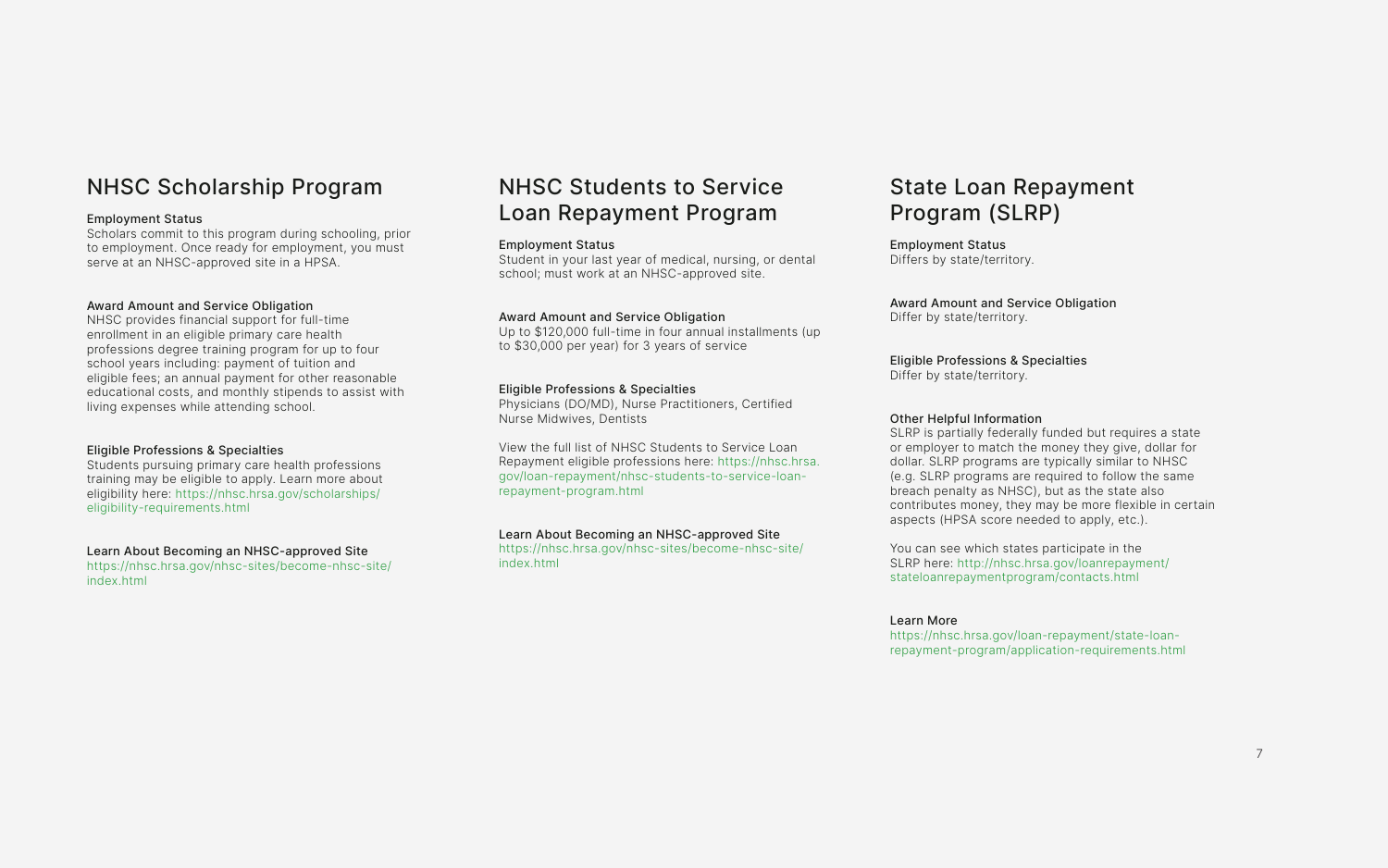## NHSC Students to Service Loan Repayment Program

#### Employment Status

Student in your last year of medical, nursing, or dental school; must work at an NHSC-approved site.

#### Award Amount and Service Obligation

Up to \$120,000 full-time in four annual installments (up to \$30,000 per year) for 3 years of service

#### Eligible Professions & Specialties

Physicians (DO/MD), Nurse Practitioners, Certified Nurse Midwives, Dentists

View the full list of NHSC Students to Service Loan Repayment eligible professions here: [https://nhsc.hrsa.](https://nhsc.hrsa.gov/loan-repayment/nhsc-students-to-service-loan-repayment-program.html) [gov/loan-repayment/nhsc-students-to-service-loan](https://nhsc.hrsa.gov/loan-repayment/nhsc-students-to-service-loan-repayment-program.html)[repayment-program.html](https://nhsc.hrsa.gov/loan-repayment/nhsc-students-to-service-loan-repayment-program.html)

#### Learn About Becoming an NHSC-approved Site

[https://nhsc.hrsa.gov/nhsc-sites/become-nhsc-site/](https://nhsc.hrsa.gov/nhsc-sites/become-nhsc-site/index.html) [index.html](https://nhsc.hrsa.gov/nhsc-sites/become-nhsc-site/index.html)

## NHSC Scholarship Program

#### Employment Status

Scholars commit to this program during schooling, prior to employment. Once ready for employment, you must serve at an NHSC-approved site in a HPSA.

#### Award Amount and Service Obligation

NHSC provides financial support for full-time enrollment in an eligible primary care health professions degree training program for up to four school years including: payment of tuition and eligible fees; an annual payment for other reasonable educational costs, and monthly stipends to assist with living expenses while attending school.

#### Eligible Professions & Specialties

Students pursuing primary care health professions training may be eligible to apply. Learn more about eligibility here: [https://nhsc.hrsa.gov/scholarships/]( https://nhsc.hrsa.gov/scholarships/eligibility-requirements.html) [eligibility-requirements.html]( https://nhsc.hrsa.gov/scholarships/eligibility-requirements.html)

#### Learn About Becoming an NHSC-approved Site

[https://nhsc.hrsa.gov/nhsc-sites/become-nhsc-site/](https://nhsc.hrsa.gov/nhsc-sites/become-nhsc-site/index.html) [index.html](https://nhsc.hrsa.gov/nhsc-sites/become-nhsc-site/index.html)

## State Loan Repayment Program (SLRP)

Employment Status Differs by state/territory.

Award Amount and Service Obligation Differ by state/territory.

Eligible Professions & Specialties Differ by state/territory.

#### Other Helpful Information

SLRP is partially federally funded but requires a state or employer to match the money they give, dollar for dollar. SLRP programs are typically similar to NHSC (e.g. SLRP programs are required to follow the same breach penalty as NHSC), but as the state also contributes money, they may be more flexible in certain aspects (HPSA score needed to apply, etc.).

You can see which states participate in the SLRP here: [http://nhsc.hrsa.gov/loanrepayment/](http://nhsc.hrsa.gov/loanrepayment/stateloanrepaymentprogram/contacts.html) [stateloanrepaymentprogram/contacts.html](http://nhsc.hrsa.gov/loanrepayment/stateloanrepaymentprogram/contacts.html)

#### Learn More

[https://nhsc.hrsa.gov/loan-repayment/state-loan](https://nhsc.hrsa.gov/loan-repayment/state-loan-repayment-program/application-requirements.html)[repayment-program/application-requirements.html](https://nhsc.hrsa.gov/loan-repayment/state-loan-repayment-program/application-requirements.html)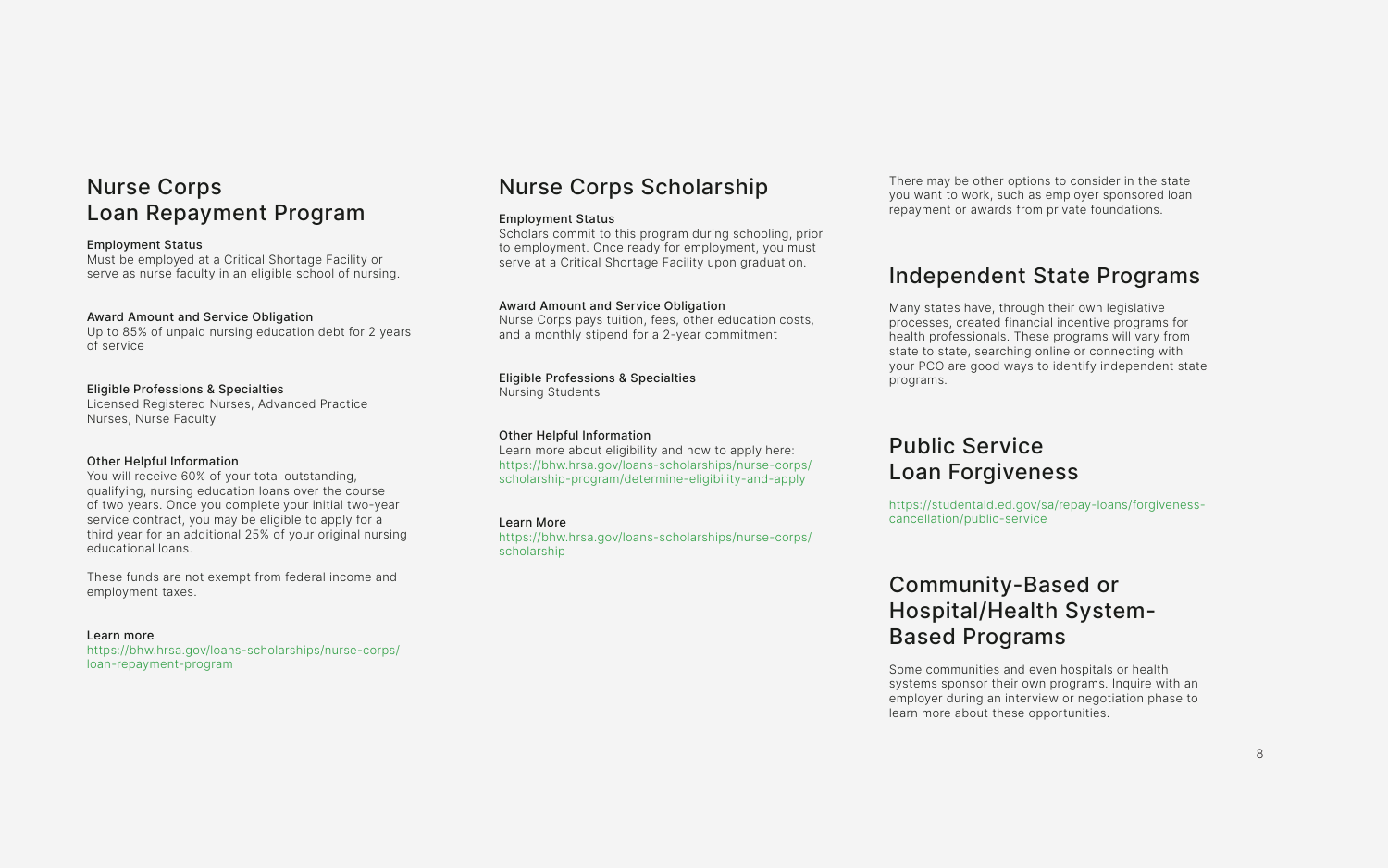## Nurse Corps Loan Repayment Program

#### Employment Status

Must be employed at a Critical Shortage Facility or serve as nurse faculty in an eligible school of nursing.

#### Award Amount and Service Obligation

Up to 85% of unpaid nursing education debt for 2 years of service

#### Eligible Professions & Specialties

Licensed Registered Nurses, Advanced Practice Nurses, Nurse Faculty

#### Other Helpful Information

You will receive 60% of your total outstanding, qualifying, nursing education loans over the course of two years. Once you complete your initial two-year service contract, you may be eligible to apply for a third year for an additional 25% of your original nursing educational loans.

These funds are not exempt from federal income and employment taxes.

#### Learn more

[https://bhw.hrsa.gov/loans-scholarships/nurse-corps/](https://bhw.hrsa.gov/loans-scholarships/nurse-corps/loan-repayment-program) [loan-repayment-program](https://bhw.hrsa.gov/loans-scholarships/nurse-corps/loan-repayment-program)

## Nurse Corps Scholarship

#### Employment Status

Scholars commit to this program during schooling, prior to employment. Once ready for employment, you must serve at a Critical Shortage Facility upon graduation.

#### Award Amount and Service Obligation

Nurse Corps pays tuition, fees, other education costs, and a monthly stipend for a 2-year commitment

#### Eligible Professions & Specialties Nursing Students

### Other Helpful Information

Learn more about eligibility and how to apply here: [https://bhw.hrsa.gov/loans-scholarships/nurse-corps/](https://bhw.hrsa.gov/loans-scholarships/nurse-corps/scholarship-program/determine-eligibility-and-apply) [scholarship-program/determine-eligibility-and-apply](https://bhw.hrsa.gov/loans-scholarships/nurse-corps/scholarship-program/determine-eligibility-and-apply)

### Learn More

[https://bhw.hrsa.gov/loans-scholarships/nurse-corps/](https://bhw.hrsa.gov/loans-scholarships/nurse-corps/scholarship) [scholarship](https://bhw.hrsa.gov/loans-scholarships/nurse-corps/scholarship)

There may be other options to consider in the state you want to work, such as employer sponsored loan repayment or awards from private foundations.

## Independent State Programs

Many states have, through their own legislative processes, created financial incentive programs for health professionals. These programs will vary from state to state, searching online or connecting with your PCO are good ways to identify independent state programs.

## Public Service Loan Forgiveness

[https://studentaid.ed.gov/sa/repay-loans/forgiveness](https://studentaid.ed.gov/sa/repay-loans/forgiveness-cancellation/public-service)[cancellation/public-service](https://studentaid.ed.gov/sa/repay-loans/forgiveness-cancellation/public-service)

## Community-Based or Hospital/Health System-Based Programs

Some communities and even hospitals or health systems sponsor their own programs. Inquire with an employer during an interview or negotiation phase to learn more about these opportunities.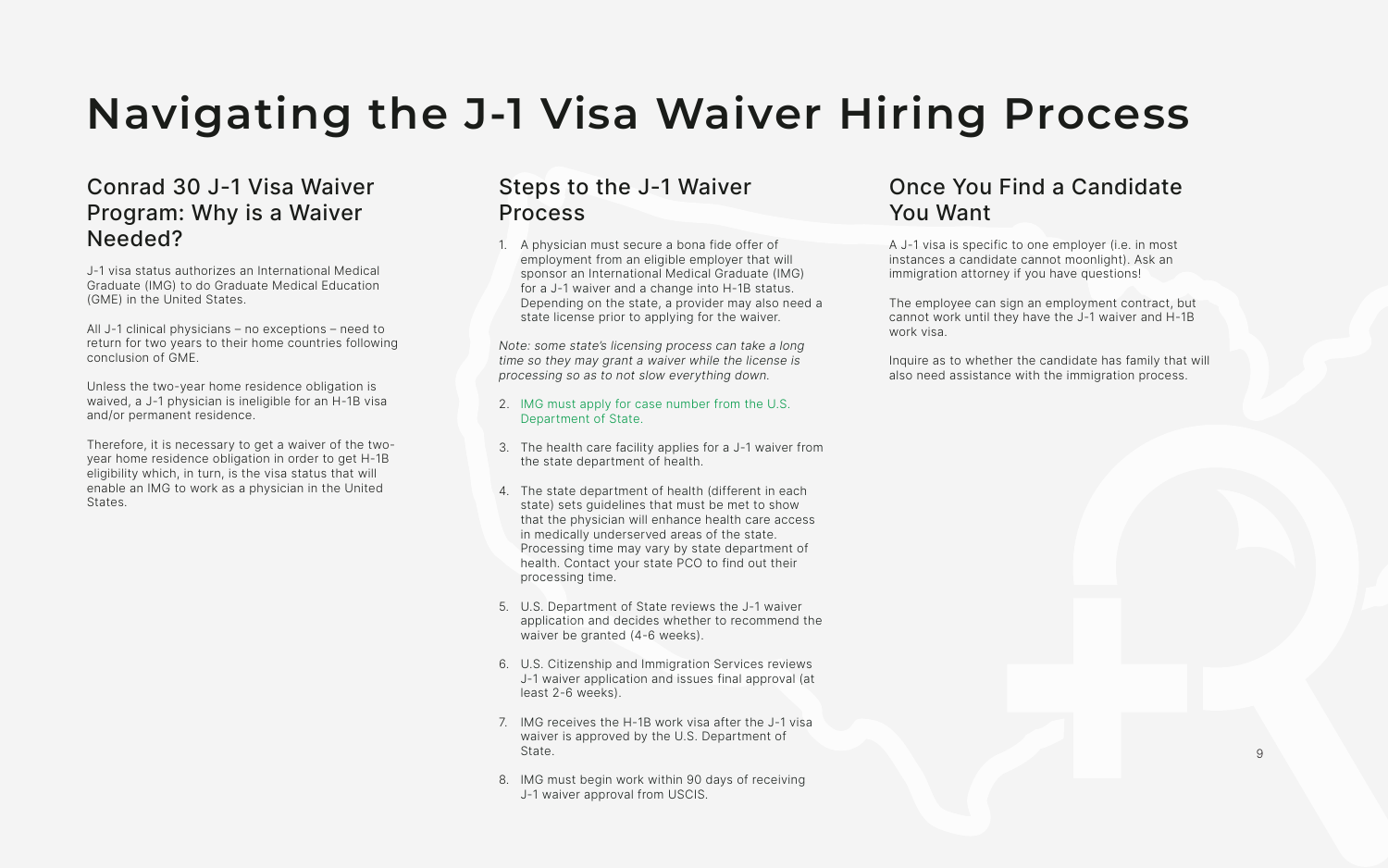# **Navigating the J-1 Visa Waiver Hiring Process**

## Conrad 30 J-1 Visa Waiver Program: Why is a Waiver Needed?

J-1 visa status authorizes an International Medical Graduate (IMG) to do Graduate Medical Education (GME) in the United States.

All J-1 clinical physicians – no exceptions – need to return for two years to their home countries following conclusion of GME.

Unless the two-year home residence obligation is waived, a J-1 physician is ineligible for an H-1B visa and/or permanent residence.

Therefore, it is necessary to get a waiver of the twoyear home residence obligation in order to get H-1B eligibility which, in turn, is the visa status that will enable an IMG to work as a physician in the United States.

## Steps to the J-1 Waiver Process

1. A physician must secure a bona fide offer of employment from an eligible employer that will sponsor an International Medical Graduate (IMG) for a J-1 waiver and a change into H-1B status. Depending on the state, a provider may also need a state license prior to applying for the waiver.

Note: some state's licensing process can take a long time so they may grant a waiver while the license is processing so as to not slow everything down.

- 2. [IMG must apply for case number from the U.S.](https://travel.state.gov/content/travel/en/us-visas/study/exchange.html )  [Department of State.](https://travel.state.gov/content/travel/en/us-visas/study/exchange.html )
- 3. The health care facility applies for a J-1 waiver from the state department of health.
- 4. The state department of health (different in each state) sets guidelines that must be met to show that the physician will enhance health care access in medically underserved areas of the state. Processing time may vary by state department of health. Contact your state PCO to find out their processing time.
- 5. U.S. Department of State reviews the J-1 waiver application and decides whether to recommend the waiver be granted (4-6 weeks).
- 6. U.S. Citizenship and Immigration Services reviews J-1 waiver application and issues final approval (at least 2-6 weeks).
- 7. IMG receives the H-1B work visa after the J-1 visa waiver is approved by the U.S. Department of State.
- 8. IMG must begin work within 90 days of receiving J-1 waiver approval from USCIS.

## Once You Find a Candidate You Want

A J-1 visa is specific to one employer (i.e. in most instances a candidate cannot moonlight). Ask an immigration attorney if you have questions!

The employee can sign an employment contract, but cannot work until they have the J-1 waiver and H-1B work visa.

Inquire as to whether the candidate has family that will also need assistance with the immigration process.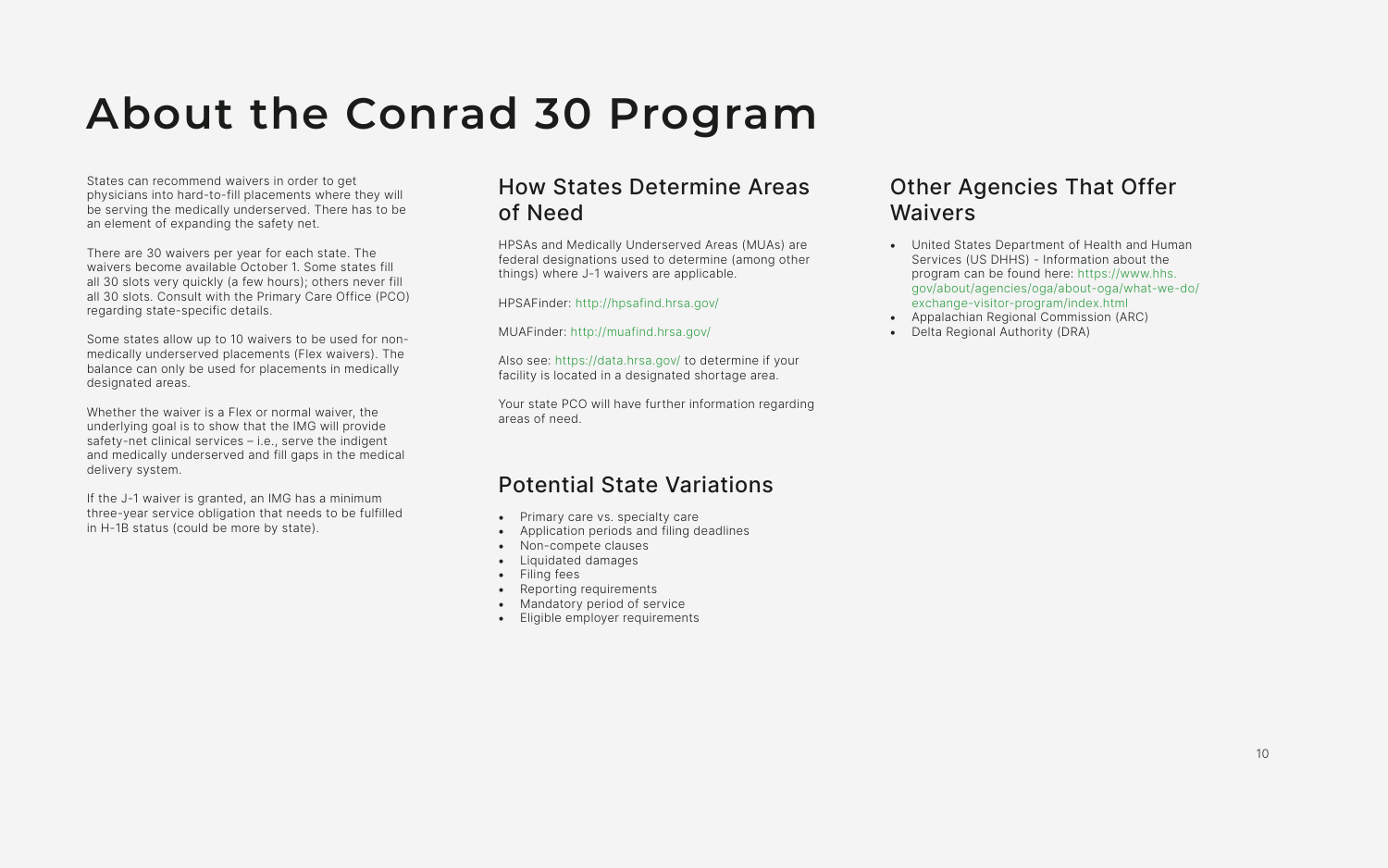States can recommend waivers in order to get physicians into hard-to-fill placements where they will be serving the medically underserved. There has to be an element of expanding the safety net.

There are 30 waivers per year for each state. The waivers become available October 1. Some states fill all 30 slots very quickly (a few hours); others never fill all 30 slots. Consult with the Primary Care Office (PCO) regarding state-specific details.

Some states allow up to 10 waivers to be used for nonmedically underserved placements (Flex waivers). The balance can only be used for placements in medically designated areas.

Whether the waiver is a Flex or normal waiver, the underlying goal is to show that the IMG will provide safety-net clinical services – i.e., serve the indigent and medically underserved and fill gaps in the medical delivery system.

- Primary care vs. specialty care
- Application periods and filing deadlines
- Non-compete clauses
- Liquidated damages
- Filing fees
- Reporting requirements
- Mandatory period of service
- Eligible employer requirements

If the J-1 waiver is granted, an IMG has a minimum three-year service obligation that needs to be fulfilled in H-1B status (could be more by state).

## **About the Conrad 30 Program**

## How States Determine Areas of Need

HPSAs and Medically Underserved Areas (MUAs) are federal designations used to determine (among other things) where J-1 waivers are applicable.

HPSAFinder: <http://hpsafind.hrsa.gov/>

MUAFinder: <http://muafind.hrsa.gov/>

Also see: <https://data.hrsa.gov/> to determine if your facility is located in a designated shortage area.

Your state PCO will have further information regarding areas of need.

## Potential State Variations

## Other Agencies That Offer Waivers

- United States Department of Health and Human Services (US DHHS) - Information about the program can be found here: [https://www.hhs.](https://www.hhs.gov/about/agencies/oga/about-oga/what-we-do/exchange-visitor-program/index.html) [gov/about/agencies/oga/about-oga/what-we-do/](https://www.hhs.gov/about/agencies/oga/about-oga/what-we-do/exchange-visitor-program/index.html) [exchange-visitor-program/index.html](https://www.hhs.gov/about/agencies/oga/about-oga/what-we-do/exchange-visitor-program/index.html)
- Appalachian Regional Commission (ARC)
- Delta Regional Authority (DRA)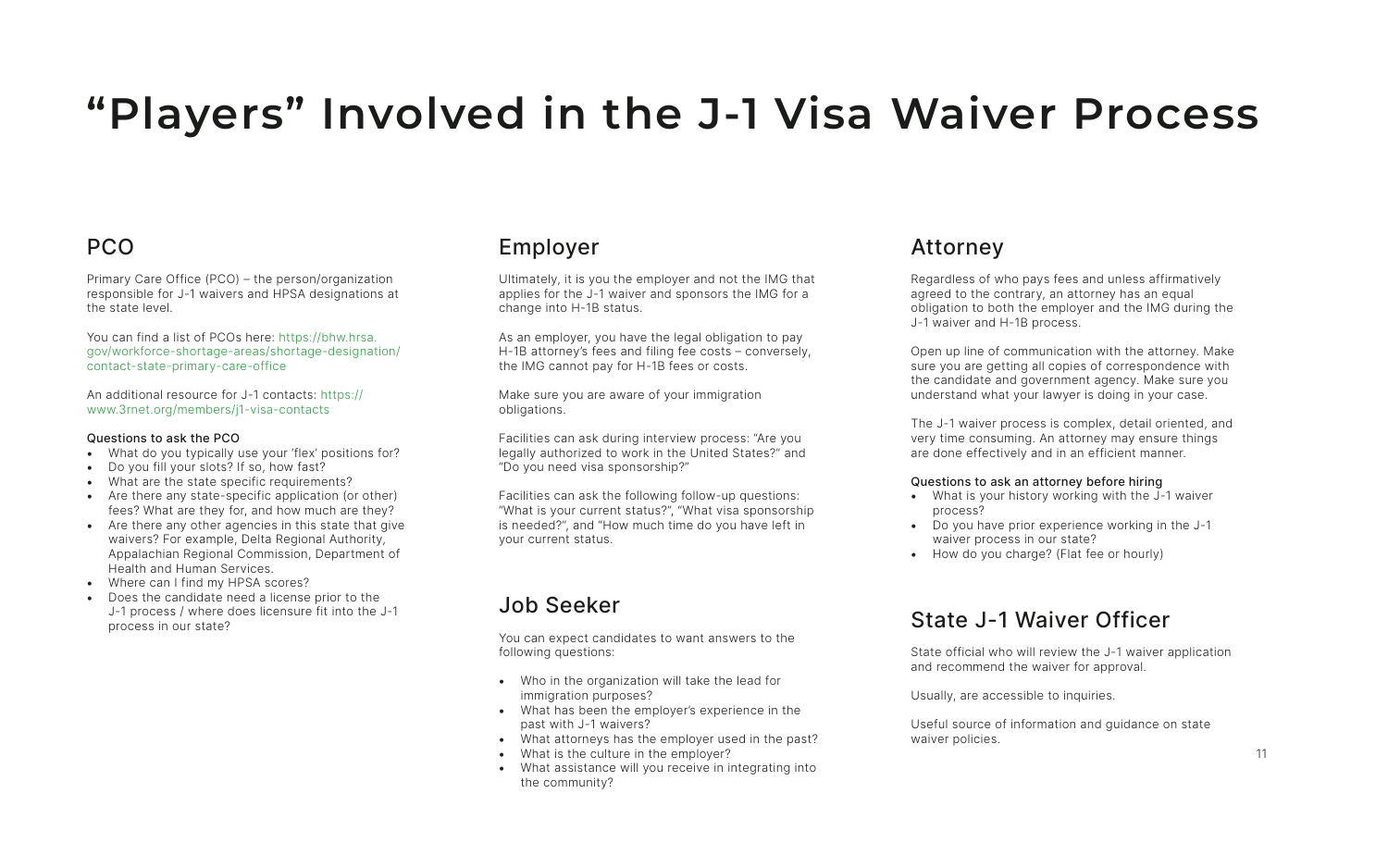## PCO

Primary Care Office (PCO) – the person/organization responsible for J-1 waivers and HPSA designations at the state level.

You can find a list of PCOs here: [https://bhw.hrsa.](https://bhw.hrsa.gov/workforce-shortage-areas/shortage-designation/contact-state-primary-care-office) [gov/workforce-shortage-areas/shortage-designation/](https://bhw.hrsa.gov/workforce-shortage-areas/shortage-designation/contact-state-primary-care-office) [contact-state-primary-care-office](https://bhw.hrsa.gov/workforce-shortage-areas/shortage-designation/contact-state-primary-care-office)

An additional resource for J-1 contacts: [https://](https://www.3rnet.org/members/j1-visa-contacts) [www.3rnet.org/members/j1-visa-contacts](https://www.3rnet.org/members/j1-visa-contacts)

#### Questions to ask the PCO

- What do you typically use your 'flex' positions for?
- Do you fill your slots? If so, how fast?
- What are the state specific requirements?
- Are there any state-specific application (or other) fees? What are they for, and how much are they?
- Are there any other agencies in this state that give waivers? For example, Delta Regional Authority, Appalachian Regional Commission, Department of Health and Human Services.
- Where can I find my HPSA scores?
- Does the candidate need a license prior to the J-1 process / where does licensure fit into the J-1 process in our state?

## **"Players" Involved in the J-1 Visa Waiver Process**

## Employer

Ultimately, it is you the employer and not the IMG that applies for the J-1 waiver and sponsors the IMG for a change into H-1B status.

As an employer, you have the legal obligation to pay H-1B attorney's fees and filing fee costs – conversely, the IMG cannot pay for H-1B fees or costs.

Make sure you are aware of your immigration obligations.

Facilities can ask during interview process: "Are you legally authorized to work in the United States?" and "Do you need visa sponsorship?"

Facilities can ask the following follow-up questions: "What is your current status?", "What visa sponsorship is needed?", and "How much time do you have left in your current status.

## Job Seeker

You can expect candidates to want answers to the following questions:

- Who in the organization will take the lead for immigration purposes?
- What has been the employer's experience in the past with J-1 waivers?
- What attorneys has the employer used in the past?
- What is the culture in the employer?
- What assistance will you receive in integrating into the community?

### Attorney

Regardless of who pays fees and unless affirmatively agreed to the contrary, an attorney has an equal obligation to both the employer and the IMG during the J-1 waiver and H-1B process.

Open up line of communication with the attorney. Make sure you are getting all copies of correspondence with the candidate and government agency. Make sure you understand what your lawyer is doing in your case.

The J-1 waiver process is complex, detail oriented, and very time consuming. An attorney may ensure things are done effectively and in an efficient manner.

#### Questions to ask an attorney before hiring

- What is your history working with the J-1 waiver process?
- Do you have prior experience working in the J-1 waiver process in our state?
- How do you charge? (Flat fee or hourly)

## State J-1 Waiver Officer

State official who will review the J-1 waiver application and recommend the waiver for approval.

Usually, are accessible to inquiries.

Useful source of information and guidance on state waiver policies.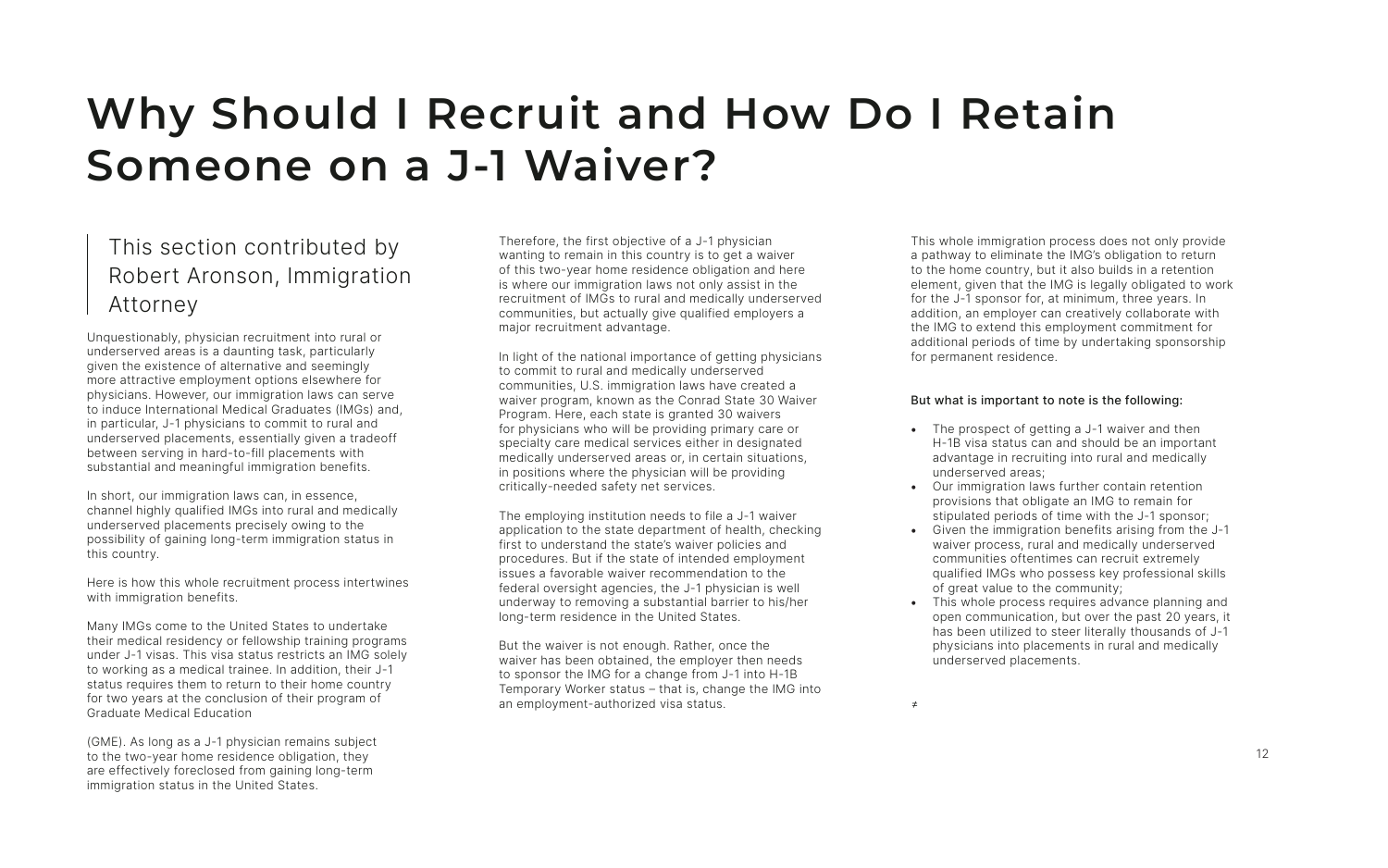## This section contributed by Robert Aronson, Immigration Attorney

Unquestionably, physician recruitment into rural or underserved areas is a daunting task, particularly given the existence of alternative and seemingly more attractive employment options elsewhere for physicians. However, our immigration laws can serve to induce International Medical Graduates (IMGs) and, in particular, J-1 physicians to commit to rural and underserved placements, essentially given a tradeoff between serving in hard-to-fill placements with substantial and meaningful immigration benefits.

In short, our immigration laws can, in essence, channel highly qualified IMGs into rural and medically underserved placements precisely owing to the possibility of gaining long-term immigration status in this country.

Here is how this whole recruitment process intertwines with immigration benefits.

Many IMGs come to the United States to undertake their medical residency or fellowship training programs under J-1 visas. This visa status restricts an IMG solely to working as a medical trainee. In addition, their J-1 status requires them to return to their home country for two years at the conclusion of their program of Graduate Medical Education

(GME). As long as a J-1 physician remains subject to the two-year home residence obligation, they are effectively foreclosed from gaining long-term immigration status in the United States.

## **Why Should I Recruit and How Do I Retain Someone on a J-1 Waiver?**

Therefore, the first objective of a J-1 physician wanting to remain in this country is to get a waiver of this two-year home residence obligation and here is where our immigration laws not only assist in the recruitment of IMGs to rural and medically underserved communities, but actually give qualified employers a major recruitment advantage.

In light of the national importance of getting physicians to commit to rural and medically underserved communities, U.S. immigration laws have created a waiver program, known as the Conrad State 30 Waiver Program. Here, each state is granted 30 waivers for physicians who will be providing primary care or specialty care medical services either in designated medically underserved areas or, in certain situations, in positions where the physician will be providing critically-needed safety net services.

- The prospect of getting a J-1 waiver and then H-1B visa status can and should be an important advantage in recruiting into rural and medically underserved areas;
- Our immigration laws further contain retention provisions that obligate an IMG to remain for stipulated periods of time with the J-1 sponsor;
- Given the immigration benefits arising from the J-1 waiver process, rural and medically underserved communities oftentimes can recruit extremely qualified IMGs who possess key professional skills of great value to the community;
- This whole process requires advance planning and open communication, but over the past 20 years, it has been utilized to steer literally thousands of J-1 physicians into placements in rural and medically underserved placements.

The employing institution needs to file a J-1 waiver application to the state department of health, checking first to understand the state's waiver policies and procedures. But if the state of intended employment issues a favorable waiver recommendation to the federal oversight agencies, the J-1 physician is well underway to removing a substantial barrier to his/her long-term residence in the United States.

But the waiver is not enough. Rather, once the waiver has been obtained, the employer then needs to sponsor the IMG for a change from J-1 into H-1B Temporary Worker status – that is, change the IMG into an employment-authorized visa status.

This whole immigration process does not only provide a pathway to eliminate the IMG's obligation to return to the home country, but it also builds in a retention element, given that the IMG is legally obligated to work for the J-1 sponsor for, at minimum, three years. In addition, an employer can creatively collaborate with the IMG to extend this employment commitment for additional periods of time by undertaking sponsorship for permanent residence.

### But what is important to note is the following: